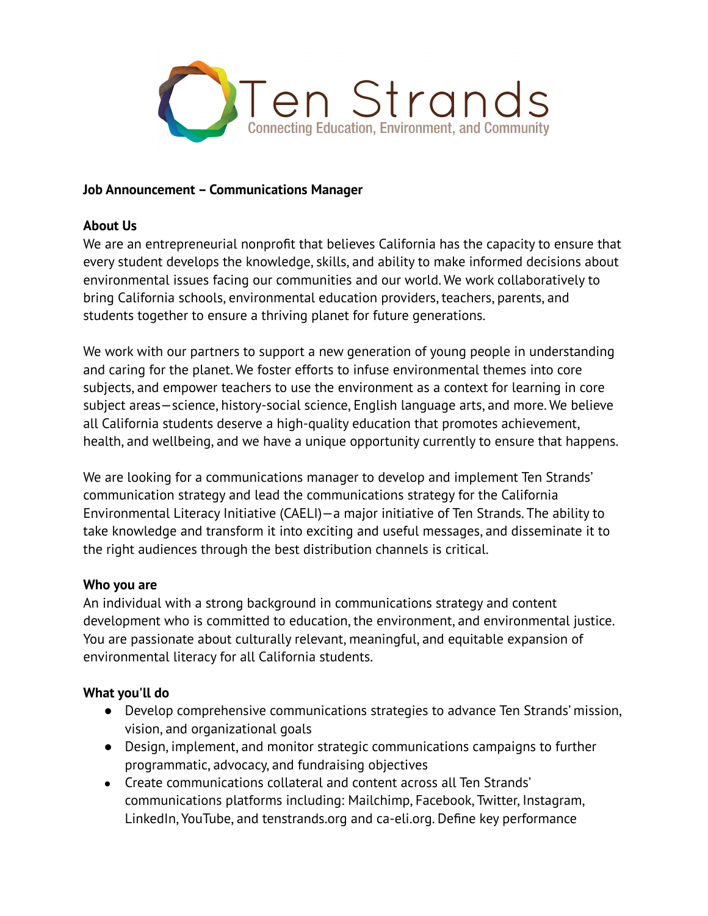

### **Job Announcement –Communications Manager**

### **About Us**

We are an entrepreneurial nonprofit that believes California has the capacity to ensure that every student develops the knowledge, skills, and ability to make informed decisions about environmental issues facing our communities and our world. We work collaboratively to bring California schools, environmental education providers, teachers, parents, and students together to ensure a thriving planet for future generations.

We work with our partners to support a new generation of young people in understanding and caring for the planet. We foster efforts to infuse environmental themes into core subjects, and empower teachers to use the environment as a context for learning in core subject areas—science, history-social science, English language arts, and more. We believe all California students deserve a high-quality education that promotes achievement, health, and wellbeing, and we have a unique opportunity currently to ensure that happens.

We are looking for a communications manager to develop and implement Ten Strands' communication strategy and lead the communications strategy for the California Environmental Literacy Initiative (CAELI)—a major initiative of Ten Strands. The ability to take knowledge and transform it into exciting and useful messages, and disseminate it to the right audiences through the best distribution channels is critical.

### **Who you are**

An individual with a strong background in communications strategy and content development who is committed to education, the environment, and environmental justice. You are passionate about culturally relevant, meaningful, and equitable expansion of environmental literacy for all California students.

# **What you'll do**

- Develop comprehensive communications strategies to advance Ten Strands' mission, vision, and organizational goals
- Design, implement, and monitor strategic communications campaigns to further programmatic, advocacy, and fundraising objectives
- Create communications collateral and content across all Ten Strands' communications platforms including: Mailchimp, Facebook, Twitter, Instagram, LinkedIn, YouTube, and tenstrands.org and ca-eli.org. Define key performance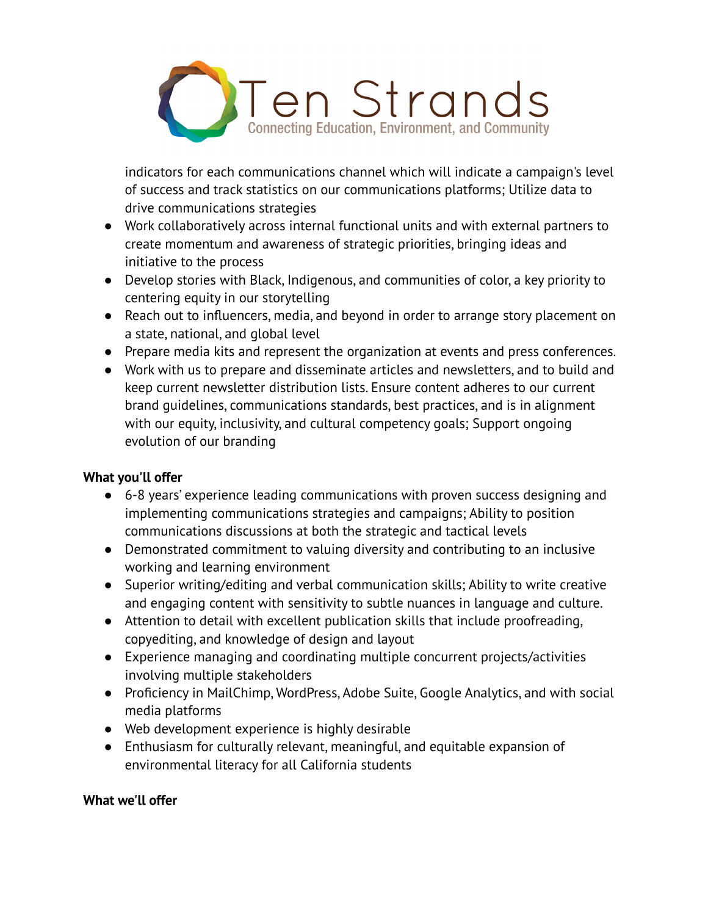

indicators for each communications channel which will indicate a campaign's level of success and track statistics on our communications platforms; Utilize data to drive communications strategies

- Work collaboratively across internal functional units and with external partners to create momentum and awareness of strategic priorities, bringing ideas and initiative to the process
- Develop stories with Black, Indigenous, and communities of color, a key priority to centering equity in our storytelling
- Reach out to influencers, media, and beyond in order to arrange story placement on a state, national, and global level
- Prepare media kits and represent the organization at events and press conferences.
- Work with us to prepare and disseminate articles and newsletters, and to build and keep current newsletter distribution lists. Ensure content adheres to our current brand guidelines, communications standards, best practices, and is in alignment with our equity, inclusivity, and cultural competency goals; Support ongoing evolution of our branding

# **What you'll offer**

- **●** 6-8 years' experience leading communications with proven success designing and implementing communications strategies and campaigns; Ability to position communications discussions at both the strategic and tactical levels
- Demonstrated commitment to valuing diversity and contributing to an inclusive working and learning environment
- Superior writing/editing and verbal communication skills; Ability to write creative and engaging content with sensitivity to subtle nuances in language and culture.
- Attention to detail with excellent publication skills that include proofreading, copyediting, and knowledge of design and layout
- Experience managing and coordinating multiple concurrent projects/activities involving multiple stakeholders
- Proficiency in MailChimp, WordPress, Adobe Suite, Google Analytics, and with social media platforms
- Web development experience is highly desirable
- Enthusiasm for culturally relevant, meaningful, and equitable expansion of environmental literacy for all California students

# **What we'll offer**